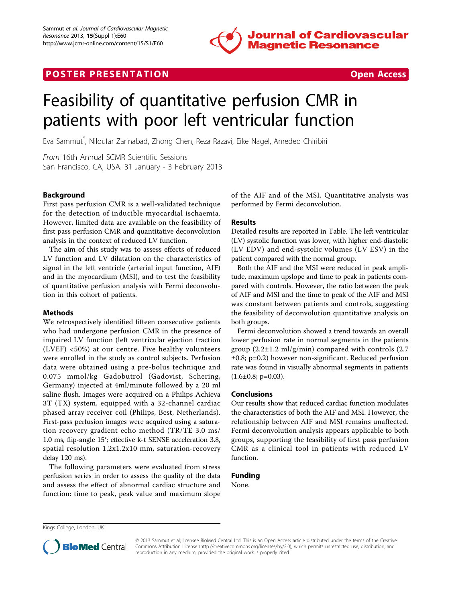

# **POSTER PRESENTATION CONSUMING THE SECOND CONSUMING THE SECOND CONSUMING THE SECOND CONSUMING THE SECOND CONSUMING THE SECOND CONSUMING THE SECOND CONSUMING THE SECOND CONSUMING THE SECOND CONSUMING THE SECOND CONSUMING**



# Feasibility of quantitative perfusion CMR in patients with poor left ventricular function

Eva Sammut\* , Niloufar Zarinabad, Zhong Chen, Reza Razavi, Eike Nagel, Amedeo Chiribiri

From 16th Annual SCMR Scientific Sessions San Francisco, CA, USA. 31 January - 3 February 2013

### Background

First pass perfusion CMR is a well-validated technique for the detection of inducible myocardial ischaemia. However, limited data are available on the feasibility of first pass perfusion CMR and quantitative deconvolution analysis in the context of reduced LV function.

The aim of this study was to assess effects of reduced LV function and LV dilatation on the characteristics of signal in the left ventricle (arterial input function, AIF) and in the myocardium (MSI), and to test the feasibility of quantitative perfusion analysis with Fermi deconvolution in this cohort of patients.

#### Methods

We retrospectively identified fifteen consecutive patients who had undergone perfusion CMR in the presence of impaired LV function (left ventricular ejection fraction (LVEF) <50%) at our centre. Five healthy volunteers were enrolled in the study as control subjects. Perfusion data were obtained using a pre-bolus technique and 0.075 mmol/kg Gadobutrol (Gadovist, Schering, Germany) injected at 4ml/minute followed by a 20 ml saline flush. Images were acquired on a Philips Achieva 3T (TX) system, equipped with a 32-channel cardiac phased array receiver coil (Philips, Best, Netherlands). First-pass perfusion images were acquired using a saturation recovery gradient echo method (TR/TE 3.0 ms/ 1.0 ms, flip-angle 15°; effective k-t SENSE acceleration 3.8, spatial resolution 1.2x1.2x10 mm, saturation-recovery delay 120 ms).

The following parameters were evaluated from stress perfusion series in order to assess the quality of the data and assess the effect of abnormal cardiac structure and function: time to peak, peak value and maximum slope of the AIF and of the MSI. Quantitative analysis was performed by Fermi deconvolution.

#### Results

Detailed results are reported in Table. The left ventricular (LV) systolic function was lower, with higher end-diastolic (LV EDV) and end-systolic volumes (LV ESV) in the patient compared with the normal group.

Both the AIF and the MSI were reduced in peak amplitude, maximum upslope and time to peak in patients compared with controls. However, the ratio between the peak of AIF and MSI and the time to peak of the AIF and MSI was constant between patients and controls, suggesting the feasibility of deconvolution quantitative analysis on both groups.

Fermi deconvolution showed a trend towards an overall lower perfusion rate in normal segments in the patients group (2.2±1.2 ml/g/min) compared with controls (2.7 ±0.8; p=0.2) however non-significant. Reduced perfusion rate was found in visually abnormal segments in patients  $(1.6\pm0.8; p=0.03)$ .

#### Conclusions

Our results show that reduced cardiac function modulates the characteristics of both the AIF and MSI. However, the relationship between AIF and MSI remains unaffected. Fermi deconvolution analysis appears applicable to both groups, supporting the feasibility of first pass perfusion CMR as a clinical tool in patients with reduced LV function.

## Funding

None.

Kings College, London, UK



© 2013 Sammut et al; licensee BioMed Central Ltd. This is an Open Access article distributed under the terms of the Creative Commons Attribution License [\(http://creativecommons.org/licenses/by/2.0](http://creativecommons.org/licenses/by/2.0)), which permits unrestricted use, distribution, and reproduction in any medium, provided the original work is properly cited.